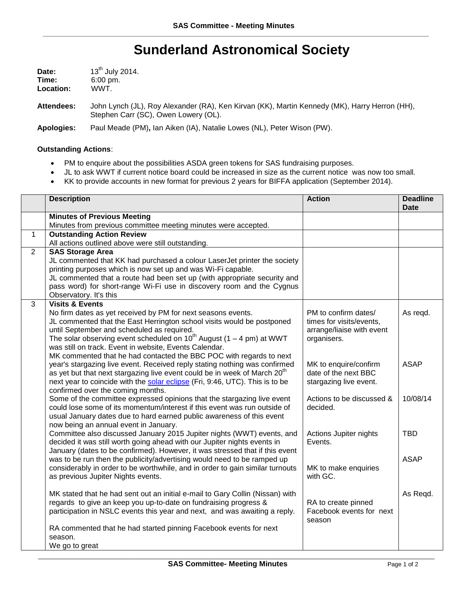## **Sunderland Astronomical Society**

| <b>Date:</b> | 13 <sup>th</sup> July 2014. |  |
|--------------|-----------------------------|--|
| Time:        | $6:00 \text{ pm}$ .         |  |
| Location:    | WWT.                        |  |

**Attendees:** John Lynch (JL), Roy Alexander (RA), Ken Kirvan (KK), Martin Kennedy (MK), Harry Herron (HH), Stephen Carr (SC), Owen Lowery (OL).

**Apologies:** Paul Meade (PM)**,** Ian Aiken (IA), Natalie Lowes (NL), Peter Wison (PW).

## **Outstanding Actions**:

- PM to enquire about the possibilities ASDA green tokens for SAS fundraising purposes.
- JL to ask WWT if current notice board could be increased in size as the current notice was now too small.
- KK to provide accounts in new format for previous 2 years for BIFFA application (September 2014).

|                | <b>Description</b>                                                                                                                                                                                                                                                                                                                                                                                 | <b>Action</b>                                                                                | <b>Deadline</b><br><b>Date</b> |
|----------------|----------------------------------------------------------------------------------------------------------------------------------------------------------------------------------------------------------------------------------------------------------------------------------------------------------------------------------------------------------------------------------------------------|----------------------------------------------------------------------------------------------|--------------------------------|
|                | <b>Minutes of Previous Meeting</b><br>Minutes from previous committee meeting minutes were accepted.                                                                                                                                                                                                                                                                                               |                                                                                              |                                |
| $\mathbf{1}$   | <b>Outstanding Action Review</b>                                                                                                                                                                                                                                                                                                                                                                   |                                                                                              |                                |
|                | All actions outlined above were still outstanding.                                                                                                                                                                                                                                                                                                                                                 |                                                                                              |                                |
| $\overline{2}$ | <b>SAS Storage Area</b>                                                                                                                                                                                                                                                                                                                                                                            |                                                                                              |                                |
|                | JL commented that KK had purchased a colour LaserJet printer the society<br>printing purposes which is now set up and was Wi-Fi capable.<br>JL commented that a route had been set up (with appropriate security and<br>pass word) for short-range Wi-Fi use in discovery room and the Cygnus<br>Observatory. It's this                                                                            |                                                                                              |                                |
| 3              | <b>Visits &amp; Events</b>                                                                                                                                                                                                                                                                                                                                                                         |                                                                                              |                                |
|                | No firm dates as yet received by PM for next seasons events.<br>JL commented that the East Herrington school visits would be postponed<br>until September and scheduled as required.<br>The solar observing event scheduled on $10^{th}$ August (1 – 4 pm) at WWT<br>was still on track. Event in website, Events Calendar.<br>MK commented that he had contacted the BBC POC with regards to next | PM to confirm dates/<br>times for visits/events,<br>arrange/liaise with event<br>organisers. | As regd.                       |
|                | year's stargazing live event. Received reply stating nothing was confirmed<br>as yet but that next stargazing live event could be in week of March 20 <sup>th</sup><br>next year to coincide with the solar eclipse (Fri, 9:46, UTC). This is to be<br>confirmed over the coming months.                                                                                                           | MK to enquire/confirm<br>date of the next BBC<br>stargazing live event.                      | <b>ASAP</b>                    |
|                | Some of the committee expressed opinions that the stargazing live event<br>could lose some of its momentum/interest if this event was run outside of<br>usual January dates due to hard earned public awareness of this event<br>now being an annual event in January.                                                                                                                             | Actions to be discussed &<br>decided.                                                        | 10/08/14                       |
|                | Committee also discussed January 2015 Jupiter nights (WWT) events, and<br>decided it was still worth going ahead with our Jupiter nights events in<br>January (dates to be confirmed). However, it was stressed that if this event                                                                                                                                                                 | Actions Jupiter nights<br>Events.                                                            | <b>TBD</b>                     |
|                | was to be run then the publicity/advertising would need to be ramped up<br>considerably in order to be worthwhile, and in order to gain similar turnouts<br>as previous Jupiter Nights events.                                                                                                                                                                                                     | MK to make enquiries<br>with GC.                                                             | <b>ASAP</b>                    |
|                | MK stated that he had sent out an initial e-mail to Gary Collin (Nissan) with<br>regards to give an keep you up-to-date on fundraising progress &<br>participation in NSLC events this year and next, and was awaiting a reply.                                                                                                                                                                    | RA to create pinned<br>Facebook events for next<br>season                                    | As Regd.                       |
|                | RA commented that he had started pinning Facebook events for next<br>season.<br>We go to great                                                                                                                                                                                                                                                                                                     |                                                                                              |                                |
|                |                                                                                                                                                                                                                                                                                                                                                                                                    |                                                                                              |                                |

\_\_\_\_\_\_\_\_\_\_\_\_\_\_\_\_\_\_\_\_\_\_\_\_\_\_\_\_\_\_\_\_\_\_\_\_\_\_\_\_\_\_\_\_\_\_\_\_\_\_\_\_\_\_\_\_\_\_\_\_\_\_\_\_\_\_\_\_\_\_\_\_\_\_\_\_\_\_\_\_\_\_\_\_\_\_\_\_\_\_\_\_\_\_\_\_\_\_\_\_\_\_\_\_\_\_\_\_\_\_\_\_\_\_\_\_\_\_\_